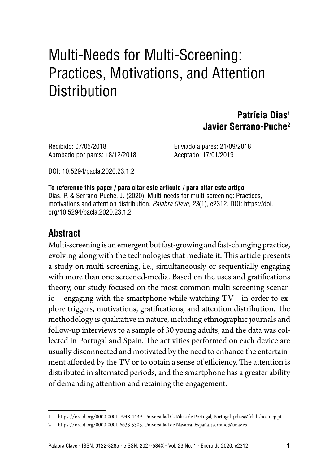# Multi-Needs for Multi-Screening: Practices, Motivations, and Attention **Distribution**

#### **Patrícia Dias1 Javier Serrano-Puche2**

Recibido: 07/05/2018 Enviado a pares: 21/09/2018 Aprobado por pares: 18/12/2018 Aceptado: 17/01/2019

DOI: [10.5294/pacla.2020.23.1.2](https://doi.org/10.5294/pacla.2020.23.1.2)

**To reference this paper / para citar este artículo / para citar este artigo** [Dias, P.](https://orcid.org/0000-0001-7948-4439) & [Serrano-Puche, J.](https://orcid.org/0000-0001-6633-5303) (2020). Multi-needs for multi-screening: Practices, motivations and attention distribution. Palabra Clave, 23(1), e2312. DOI: [https://doi.](https://doi.org/10.5294/pacla.2020.23.1.2) [org/10.5294/pacla.2020.23.1.2](https://doi.org/10.5294/pacla.2020.23.1.2)

#### **Abstract**

Multi-screening is an emergent but fast-growing and fast-changing practice, evolving along with the technologies that mediate it. This article presents a study on multi-screening, i.e., simultaneously or sequentially engaging with more than one screened-media. Based on the uses and gratifications theory, our study focused on the most common multi-screening scenario—engaging with the smartphone while watching TV—in order to explore triggers, motivations, gratifications, and attention distribution. The methodology is qualitative in nature, including ethnographic journals and follow-up interviews to a sample of 30 young adults, and the data was collected in Portugal and Spain. The activities performed on each device are usually disconnected and motivated by the need to enhance the entertainment afforded by the TV or to obtain a sense of efficiency. The attention is distributed in alternated periods, and the smartphone has a greater ability of demanding attention and retaining the engagement.

<sup>1</sup> <https://orcid.org/0000-0001-7948-4439>. Universidad Católica de Portugal, Portugal. [pdias@fch.lisboa.ucp.pt](mailto:pdias@fch.lisboa.ucp.pt) 

<sup>2</sup> <https://orcid.org/0000-0001-6633-5303>. Universidad de Navarra, España. [jserrano@unav.es](mailto:jserrano@unav.es)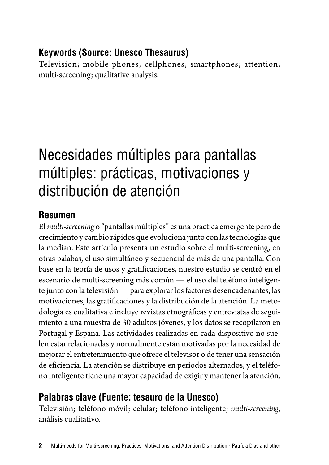#### **Keywords (Source: Unesco Thesaurus)**

Television; mobile phones; cellphones; smartphones; attention; multi-screening; qualitative analysis.

# Necesidades múltiples para pantallas múltiples: prácticas, motivaciones y distribución de atención

#### **Resumen**

El *multi-screening* o "pantallas múltiples" es una práctica emergente pero de crecimiento y cambio rápidos que evoluciona junto con las tecnologías que la median. Este artículo presenta un estudio sobre el multi-screening, en otras palabas, el uso simultáneo y secuencial de más de una pantalla. Con base en la teoría de usos y gratificaciones, nuestro estudio se centró en el escenario de multi-screening más común — el uso del teléfono inteligente junto con la televisión — para explorar los factores desencadenantes, las motivaciones, las gratificaciones y la distribución de la atención. La metodología es cualitativa e incluye revistas etnográficas y entrevistas de seguimiento a una muestra de 30 adultos jóvenes, y los datos se recopilaron en Portugal y España. Las actividades realizadas en cada dispositivo no suelen estar relacionadas y normalmente están motivadas por la necesidad de mejorar el entretenimiento que ofrece el televisor o de tener una sensación de eficiencia. La atención se distribuye en períodos alternados, y el teléfono inteligente tiene una mayor capacidad de exigir y mantener la atención.

### **Palabras clave (Fuente: tesauro de la Unesco)**

Televisión; teléfono móvil; celular; teléfono inteligente; *multi-screening*, análisis cualitativo.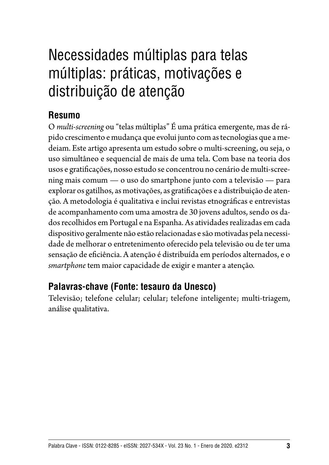# Necessidades múltiplas para telas múltiplas: práticas, motivações e distribuição de atenção

#### **Resumo**

O *multi-screening* ou "telas múltiplas" É uma prática emergente, mas de rápido crescimento e mudança que evolui junto com as tecnologias que a medeiam. Este artigo apresenta um estudo sobre o multi-screening, ou seja, o uso simultâneo e sequencial de mais de uma tela. Com base na teoria dos usos e gratificações, nosso estudo se concentrou no cenário de multi-screening mais comum — o uso do smartphone junto com a televisão — para explorar os gatilhos, as motivações, as gratificações e a distribuição de atenção. A metodologia é qualitativa e inclui revistas etnográficas e entrevistas de acompanhamento com uma amostra de 30 jovens adultos, sendo os dados recolhidos em Portugal e na Espanha. As atividades realizadas em cada dispositivo geralmente não estão relacionadas e são motivadas pela necessidade de melhorar o entretenimento oferecido pela televisão ou de ter uma sensação de eficiência. A atenção é distribuída em períodos alternados, e o *smartphone* tem maior capacidade de exigir e manter a atenção.

#### **Palavras-chave (Fonte: tesauro da Unesco)**

Televisão; telefone celular; celular; telefone inteligente; multi-triagem, análise qualitativa.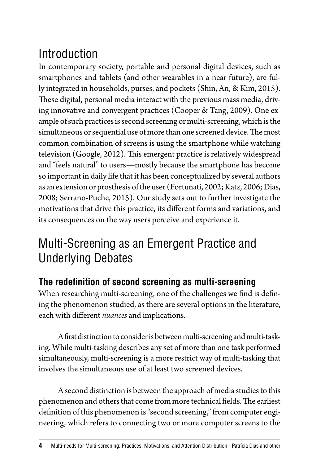# Introduction

In contemporary society, portable and personal digital devices, such as smartphones and tablets (and other wearables in a near future), are fully integrated in households, purses, and pockets (Shin, An, & Kim, 2015). These digital, personal media interact with the previous mass media, driving innovative and convergent practices (Cooper & Tang, 2009). One example of such practices is second screening or multi-screening, which is the simultaneous or sequential use of more than one screened device. The most common combination of screens is using the smartphone while watching television (Google, 2012). This emergent practice is relatively widespread and "feels natural" to users—mostly because the smartphone has become so important in daily life that it has been conceptualized by several authors as an extension or prosthesis of the user (Fortunati, 2002; Katz, 2006; Dias, 2008; Serrano-Puche, 2015). Our study sets out to further investigate the motivations that drive this practice, its different forms and variations, and its consequences on the way users perceive and experience it.

## Multi-Screening as an Emergent Practice and Underlying Debates

### **The redefinition of second screening as multi-screening**

When researching multi-screening, one of the challenges we find is defining the phenomenon studied, as there are several options in the literature, each with different *nuances* and implications.

A first distinction to consider is between multi-screening and multi-tasking. While multi-tasking describes any set of more than one task performed simultaneously, multi-screening is a more restrict way of multi-tasking that involves the simultaneous use of at least two screened devices.

A second distinction is between the approach of media studies to this phenomenon and others that come from more technical fields. The earliest definition of this phenomenon is "second screening," from computer engineering, which refers to connecting two or more computer screens to the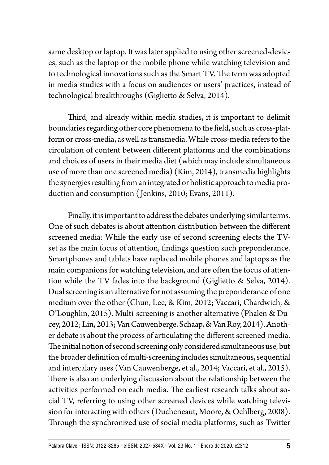same desktop or laptop. It was later applied to using other screened-devices, such as the laptop or the mobile phone while watching television and to technological innovations such as the Smart TV. The term was adopted in media studies with a focus on audiences or users' practices, instead of technological breakthroughs (Giglietto & Selva, 2014).

Third, and already within media studies, it is important to delimit boundaries regarding other core phenomena to the field, such as cross-platform or cross-media, as well as transmedia. While cross-media refers to the circulation of content between different platforms and the combinations and choices of users in their media diet (which may include simultaneous use of more than one screened media) (Kim, 2014), transmedia highlights the synergies resulting from an integrated or holistic approach to media production and consumption ( Jenkins, 2010; Evans, 2011).

Finally, it is important to address the debates underlying similar terms. One of such debates is about attention distribution between the different screened media: While the early use of second screening elects the TVset as the main focus of attention, findings question such preponderance. Smartphones and tablets have replaced mobile phones and laptops as the main companions for watching television, and are often the focus of attention while the TV fades into the background (Giglietto & Selva, 2014). Dual screening is an alternative for not assuming the preponderance of one medium over the other (Chun, Lee, & Kim, 2012; Vaccari, Chardwich, & O'Loughlin, 2015). Multi-screening is another alternative (Phalen & Ducey, 2012; Lin, 2013; Van Cauwenberge, Schaap, & Van Roy, 2014). Another debate is about the process of articulating the different screened-media. The initial notion of second screening only considered simultaneous use, but the broader definition of multi-screening includes simultaneous, sequential and intercalary uses (Van Cauwenberge, et al., 2014; Vaccari, et al., 2015). There is also an underlying discussion about the relationship between the activities performed on each media. The earliest research talks about social TV, referring to using other screened devices while watching television for interacting with others (Ducheneaut, Moore, & Oehlberg, 2008). Through the synchronized use of social media platforms, such as Twitter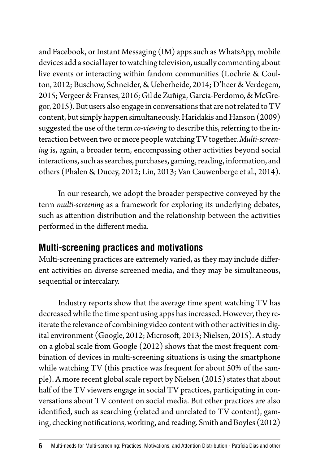and Facebook, or Instant Messaging (IM) apps such as WhatsApp, mobile devices add a social layer to watching television, usually commenting about live events or interacting within fandom communities (Lochrie & Coulton, 2012; Buschow, Schneider, & Ueberheide, 2014; D'heer & Verdegem, 2015; Vergeer & Franses, 2016; Gil de Zuñiga, Garcia-Perdomo, & McGregor, 2015). But users also engage in conversations that are not related to TV content, but simply happen simultaneously. Haridakis and Hanson (2009) suggested the use of the term *co-viewing* to describe this, referring to the interaction between two or more people watching TV together. *Multi-screening* is, again, a broader term, encompassing other activities beyond social interactions, such as searches, purchases, gaming, reading, information, and others (Phalen & Ducey, 2012; Lin, 2013; Van Cauwenberge et al., 2014).

In our research, we adopt the broader perspective conveyed by the term *multi-screening* as a framework for exploring its underlying debates, such as attention distribution and the relationship between the activities performed in the different media.

#### **Multi-screening practices and motivations**

Multi-screening practices are extremely varied, as they may include different activities on diverse screened-media, and they may be simultaneous, sequential or intercalary.

Industry reports show that the average time spent watching TV has decreased while the time spent using apps has increased. However, they reiterate the relevance of combining video content with other activities in digital environment (Google, 2012; Microsoft, 2013; Nielsen, 2015). A study on a global scale from Google (2012) shows that the most frequent combination of devices in multi-screening situations is using the smartphone while watching TV (this practice was frequent for about 50% of the sample). A more recent global scale report by Nielsen (2015) states that about half of the TV viewers engage in social TV practices, participating in conversations about TV content on social media. But other practices are also identified, such as searching (related and unrelated to TV content), gaming, checking notifications, working, and reading. Smith and Boyles (2012)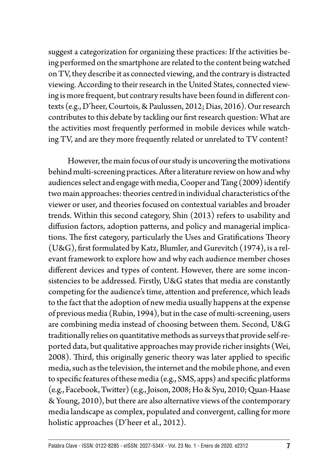suggest a categorization for organizing these practices: If the activities being performed on the smartphone are related to the content being watched on TV, they describe it as connected viewing, and the contrary is distracted viewing. According to their research in the United States, connected viewing is more frequent, but contrary results have been found in different contexts (e.g., D'heer, Courtois, & Paulussen, 2012; Dias, 2016). Our research contributes to this debate by tackling our first research question: What are the activities most frequently performed in mobile devices while watching TV, and are they more frequently related or unrelated to TV content?

However, the main focus of our study is uncovering the motivations behind multi-screening practices. After a literature review on how and why audiences select and engage with media, Cooper and Tang (2009) identify two main approaches: theories centred in individual characteristics of the viewer or user, and theories focused on contextual variables and broader trends. Within this second category, Shin (2013) refers to usability and diffusion factors, adoption patterns, and policy and managerial implications. The first category, particularly the Uses and Gratifications Theory (U&G), first formulated by Katz, Blumler, and Gurevitch (1974), is a relevant framework to explore how and why each audience member choses different devices and types of content. However, there are some inconsistencies to be addressed. Firstly, U&G states that media are constantly competing for the audience's time, attention and preference, which leads to the fact that the adoption of new media usually happens at the expense of previous media (Rubin, 1994), but in the case of multi-screening, users are combining media instead of choosing between them. Second, U&G traditionally relies on quantitative methods as surveys that provide self-reported data, but qualitative approaches may provide richer insights (Wei, 2008). Third, this originally generic theory was later applied to specific media, such as the television, the internet and the mobile phone, and even to specific features of these media (e.g., SMS, apps) and specific platforms (e.g., Facebook, Twitter) (e.g., Joison, 2008; Ho & Syu, 2010; Quan-Haase & Young, 2010), but there are also alternative views of the contemporary media landscape as complex, populated and convergent, calling for more holistic approaches (D'heer et al., 2012).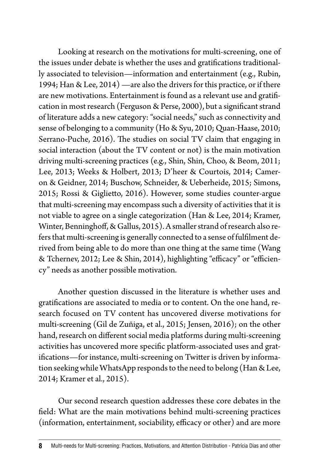Looking at research on the motivations for multi-screening, one of the issues under debate is whether the uses and gratifications traditionally associated to television—information and entertainment (e.g., Rubin, 1994; Han & Lee, 2014) —are also the drivers for this practice, or if there are new motivations. Entertainment is found as a relevant use and gratification in most research (Ferguson & Perse, 2000), but a significant strand of literature adds a new category: "social needs," such as connectivity and sense of belonging to a community (Ho & Syu, 2010; Quan-Haase, 2010; Serrano-Puche, 2016). The studies on social TV claim that engaging in social interaction (about the TV content or not) is the main motivation driving multi-screening practices (e.g., Shin, Shin, Choo, & Beom, 2011; Lee, 2013; Weeks & Holbert, 2013; D'heer & Courtois, 2014; Cameron & Geidner, 2014; Buschow, Schneider, & Ueberheide, 2015; Simons, 2015; Rossi & Giglietto, 2016). However, some studies counter-argue that multi-screening may encompass such a diversity of activities that it is not viable to agree on a single categorization (Han & Lee, 2014; Kramer, Winter, Benninghoff, & Gallus, 2015). A smaller strand of research also refers that multi-screening is generally connected to a sense of fulfilment derived from being able to do more than one thing at the same time (Wang & Tchernev, 2012; Lee & Shin, 2014), highlighting "efficacy" or "efficiency" needs as another possible motivation.

Another question discussed in the literature is whether uses and gratifications are associated to media or to content. On the one hand, research focused on TV content has uncovered diverse motivations for multi-screening (Gil de Zuñiga, et al., 2015; Jensen, 2016); on the other hand, research on different social media platforms during multi-screening activities has uncovered more specific platform-associated uses and gratifications—for instance, multi-screening on Twitter is driven by information seeking while WhatsApp responds to the need to belong (Han & Lee, 2014; Kramer et al., 2015).

Our second research question addresses these core debates in the field: What are the main motivations behind multi-screening practices (information, entertainment, sociability, efficacy or other) and are more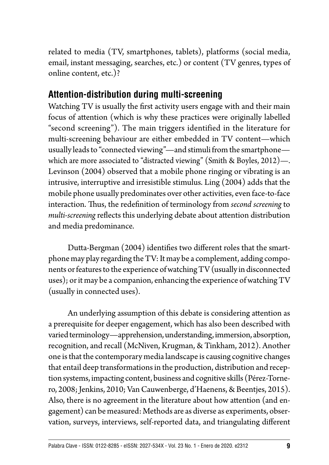related to media (TV, smartphones, tablets), platforms (social media, email, instant messaging, searches, etc.) or content (TV genres, types of online content, etc.)?

#### **Attention-distribution during multi-screening**

Watching TV is usually the first activity users engage with and their main focus of attention (which is why these practices were originally labelled "second screening"). The main triggers identified in the literature for multi-screening behaviour are either embedded in TV content—which usually leads to "connected viewing"—and stimuli from the smartphone which are more associated to "distracted viewing" (Smith & Boyles, 2012)—. Levinson (2004) observed that a mobile phone ringing or vibrating is an intrusive, interruptive and irresistible stimulus. Ling (2004) adds that the mobile phone usually predominates over other activities, even face-to-face interaction. Thus, the redefinition of terminology from *second screening* to *multi-screening* reflects this underlying debate about attention distribution and media predominance.

Dutta-Bergman (2004) identifies two different roles that the smartphone may play regarding the TV: It may be a complement, adding components or features to the experience of watching TV (usually in disconnected uses); or it may be a companion, enhancing the experience of watching TV (usually in connected uses).

An underlying assumption of this debate is considering attention as a prerequisite for deeper engagement, which has also been described with varied terminology—apprehension, understanding, immersion, absorption, recognition, and recall (McNiven, Krugman, & Tinkham, 2012). Another one is that the contemporary media landscape is causing cognitive changes that entail deep transformations in the production, distribution and reception systems, impacting content, business and cognitive skills (Pérez-Tornero, 2008; Jenkins, 2010; Van Cauwenberge, d'Haenens, & Beentjes, 2015). Also, there is no agreement in the literature about how attention (and engagement) can be measured: Methods are as diverse as experiments, observation, surveys, interviews, self-reported data, and triangulating different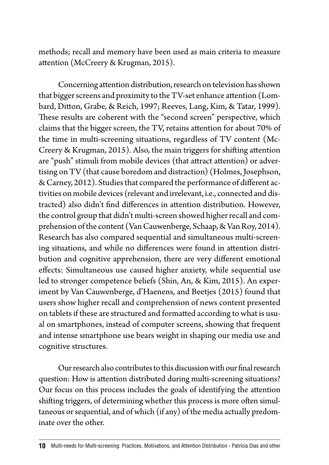methods; recall and memory have been used as main criteria to measure attention (McCreery & Krugman, 2015).

Concerning attention distribution, research on television has shown that bigger screens and proximity to the TV-set enhance attention (Lombard, Ditton, Grabe, & Reich, 1997; Reeves, Lang, Kim, & Tatar, 1999). These results are coherent with the "second screen" perspective, which claims that the bigger screen, the TV, retains attention for about 70% of the time in multi-screening situations, regardless of TV content (Mc-Creery & Krugman, 2015). Also, the main triggers for shifting attention are "push" stimuli from mobile devices (that attract attention) or advertising on TV (that cause boredom and distraction) (Holmes, Josephson, & Carney, 2012). Studies that compared the performance of different activities on mobile devices (relevant and irrelevant, i.e., connected and distracted) also didn't find differences in attention distribution. However, the control group that didn't multi-screen showed higher recall and comprehension of the content (Van Cauwenberge, Schaap, & Van Roy, 2014). Research has also compared sequential and simultaneous multi-screening situations, and while no differences were found in attention distribution and cognitive apprehension, there are very different emotional effects: Simultaneous use caused higher anxiety, while sequential use led to stronger competence beliefs (Shin, An, & Kim, 2015). An experiment by Van Cauwenberge, d'Haenens, and Beetjes (2015) found that users show higher recall and comprehension of news content presented on tablets if these are structured and formatted according to what is usual on smartphones, instead of computer screens, showing that frequent and intense smartphone use bears weight in shaping our media use and cognitive structures.

Our research also contributes to this discussion with our final research question: How is attention distributed during multi-screening situations? Our focus on this process includes the goals of identifying the attention shifting triggers, of determining whether this process is more often simultaneous or sequential, and of which (if any) of the media actually predominate over the other.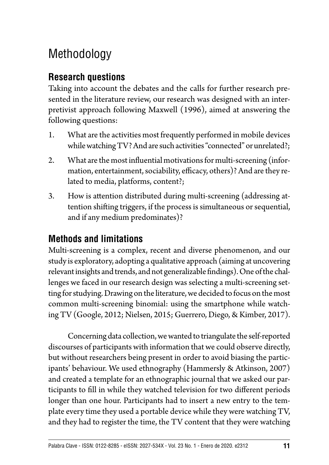# Methodology

### **Research questions**

Taking into account the debates and the calls for further research presented in the literature review, our research was designed with an interpretivist approach following Maxwell (1996), aimed at answering the following questions:

- 1. What are the activities most frequently performed in mobile devices while watching TV? And are such activities "connected" or unrelated?;
- 2. What are the most influential motivations for multi-screening (information, entertainment, sociability, efficacy, others)? And are they related to media, platforms, content?;
- 3. How is attention distributed during multi-screening (addressing attention shifting triggers, if the process is simultaneous or sequential, and if any medium predominates)?

### **Methods and limitations**

Multi-screening is a complex, recent and diverse phenomenon, and our study is exploratory, adopting a qualitative approach (aiming at uncovering relevant insights and trends, and not generalizable findings). One of the challenges we faced in our research design was selecting a multi-screening setting for studying. Drawing on the literature, we decided to focus on the most common multi-screening binomial: using the smartphone while watching TV (Google, 2012; Nielsen, 2015; Guerrero, Diego, & Kimber, 2017).

Concerning data collection, we wanted to triangulate the self-reported discourses of participants with information that we could observe directly, but without researchers being present in order to avoid biasing the participants' behaviour. We used ethnography (Hammersly & Atkinson, 2007) and created a template for an ethnographic journal that we asked our participants to fill in while they watched television for two different periods longer than one hour. Participants had to insert a new entry to the template every time they used a portable device while they were watching TV, and they had to register the time, the TV content that they were watching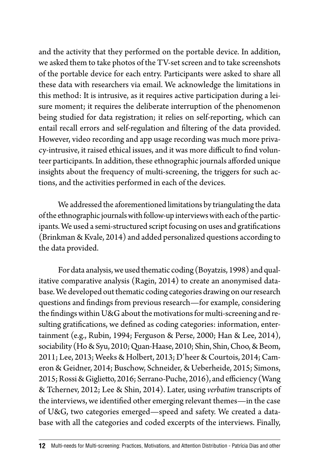and the activity that they performed on the portable device. In addition, we asked them to take photos of the TV-set screen and to take screenshots of the portable device for each entry. Participants were asked to share all these data with researchers via email. We acknowledge the limitations in this method: It is intrusive, as it requires active participation during a leisure moment; it requires the deliberate interruption of the phenomenon being studied for data registration; it relies on self-reporting, which can entail recall errors and self-regulation and filtering of the data provided. However, video recording and app usage recording was much more privacy-intrusive, it raised ethical issues, and it was more difficult to find volunteer participants. In addition, these ethnographic journals afforded unique insights about the frequency of multi-screening, the triggers for such actions, and the activities performed in each of the devices.

We addressed the aforementioned limitations by triangulating the data of the ethnographic journals with follow-up interviews with each of the participants. We used a semi-structured script focusing on uses and gratifications (Brinkman & Kvale, 2014) and added personalized questions according to the data provided.

For data analysis, we used thematic coding (Boyatzis, 1998) and qualitative comparative analysis (Ragin, 2014) to create an anonymised database. We developed out thematic coding categories drawing on our research questions and findings from previous research—for example, considering the findings within U&G about the motivations for multi-screening and resulting gratifications, we defined as coding categories: information, entertainment (e.g., Rubin, 1994; Ferguson & Perse, 2000; Han & Lee, 2014), sociability (Ho & Syu, 2010; Quan-Haase, 2010; Shin, Shin, Choo, & Beom, 2011; Lee, 2013; Weeks & Holbert, 2013; D'heer & Courtois, 2014; Cameron & Geidner, 2014; Buschow, Schneider, & Ueberheide, 2015; Simons, 2015; Rossi & Giglietto, 2016; Serrano-Puche, 2016), and efficiency (Wang & Tchernev, 2012; Lee & Shin, 2014). Later, using *verbatim* transcripts of the interviews, we identified other emerging relevant themes—in the case of U&G, two categories emerged—speed and safety. We created a database with all the categories and coded excerpts of the interviews. Finally,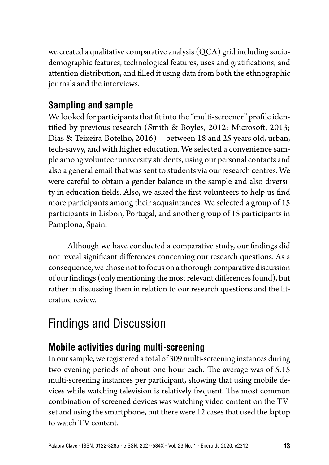we created a qualitative comparative analysis (QCA) grid including sociodemographic features, technological features, uses and gratifications, and attention distribution, and filled it using data from both the ethnographic journals and the interviews.

#### **Sampling and sample**

We looked for participants that fit into the "multi-screener" profile identified by previous research (Smith & Boyles, 2012; Microsoft, 2013; Dias & Teixeira-Botelho, 2016)—between 18 and 25 years old, urban, tech-savvy, and with higher education. We selected a convenience sample among volunteer university students, using our personal contacts and also a general email that was sent to students via our research centres. We were careful to obtain a gender balance in the sample and also diversity in education fields. Also, we asked the first volunteers to help us find more participants among their acquaintances. We selected a group of 15 participants in Lisbon, Portugal, and another group of 15 participants in Pamplona, Spain.

Although we have conducted a comparative study, our findings did not reveal significant differences concerning our research questions. As a consequence, we chose not to focus on a thorough comparative discussion of our findings (only mentioning the most relevant differences found), but rather in discussing them in relation to our research questions and the literature review.

# Findings and Discussion

### **Mobile activities during multi-screening**

In our sample, we registered a total of 309 multi-screening instances during two evening periods of about one hour each. The average was of 5.15 multi-screening instances per participant, showing that using mobile devices while watching television is relatively frequent. The most common combination of screened devices was watching video content on the TVset and using the smartphone, but there were 12 cases that used the laptop to watch TV content.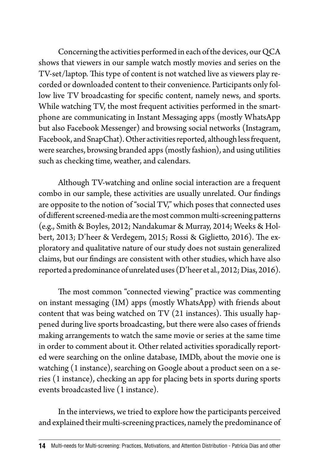Concerning the activities performed in each of the devices, our QCA shows that viewers in our sample watch mostly movies and series on the TV-set/laptop. This type of content is not watched live as viewers play recorded or downloaded content to their convenience. Participants only follow live TV broadcasting for specific content, namely news, and sports. While watching TV, the most frequent activities performed in the smartphone are communicating in Instant Messaging apps (mostly WhatsApp but also Facebook Messenger) and browsing social networks (Instagram, Facebook, and SnapChat). Other activities reported, although less frequent, were searches, browsing branded apps (mostly fashion), and using utilities such as checking time, weather, and calendars.

Although TV-watching and online social interaction are a frequent combo in our sample, these activities are usually unrelated. Our findings are opposite to the notion of "social TV," which poses that connected uses of different screened-media are the most common multi-screening patterns (e.g., Smith & Boyles, 2012; Nandakumar & Murray, 2014; Weeks & Holbert, 2013; D'heer & Verdegem, 2015; Rossi & Giglietto, 2016). The exploratory and qualitative nature of our study does not sustain generalized claims, but our findings are consistent with other studies, which have also reported a predominance of unrelated uses (D'heer et al., 2012; Dias, 2016).

The most common "connected viewing" practice was commenting on instant messaging (IM) apps (mostly WhatsApp) with friends about content that was being watched on TV (21 instances). This usually happened during live sports broadcasting, but there were also cases of friends making arrangements to watch the same movie or series at the same time in order to comment about it. Other related activities sporadically reported were searching on the online database, IMDb, about the movie one is watching (1 instance), searching on Google about a product seen on a series (1 instance), checking an app for placing bets in sports during sports events broadcasted live (1 instance).

In the interviews, we tried to explore how the participants perceived and explained their multi-screening practices, namely the predominance of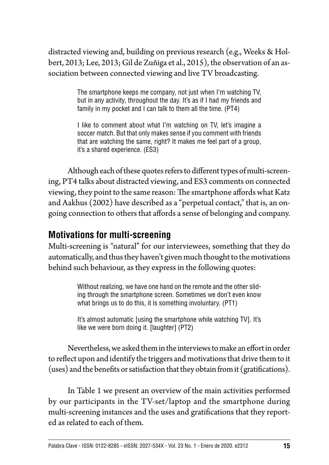distracted viewing and, building on previous research (e.g., Weeks & Holbert, 2013; Lee, 2013; Gil de Zuñiga et al., 2015), the observation of an association between connected viewing and live TV broadcasting.

> The smartphone keeps me company, not just when I'm watching TV, but in any activity, throughout the day. It's as if I had my friends and family in my pocket and I can talk to them all the time. (PT4)

> I like to comment about what I'm watching on TV, let's imagine a soccer match. But that only makes sense if you comment with friends that are watching the same, right? It makes me feel part of a group, it's a shared experience. (ES3)

Although each of these quotes refers to different types of multi-screening, PT4 talks about distracted viewing, and ES3 comments on connected viewing, they point to the same reason: The smartphone affords what Katz and Aakhus (2002) have described as a "perpetual contact," that is, an ongoing connection to others that affords a sense of belonging and company.

#### **Motivations for multi-screening**

Multi-screening is "natural" for our interviewees, something that they do automatically, and thus they haven't given much thought to the motivations behind such behaviour, as they express in the following quotes:

> Without realizing, we have one hand on the remote and the other sliding through the smartphone screen. Sometimes we don't even know what brings us to do this, it is something involuntary. (PT1)

> It's almost automatic [using the smartphone while watching TV]. It's like we were born doing it. [laughter] (PT2)

Nevertheless, we asked them in the interviews to make an effort in order to reflect upon and identify the triggers and motivations that drive them to it (uses) and the benefits or satisfaction that they obtain from it (gratifications).

In Table 1 we present an overview of the main activities performed by our participants in the TV-set/laptop and the smartphone during multi-screening instances and the uses and gratifications that they reported as related to each of them.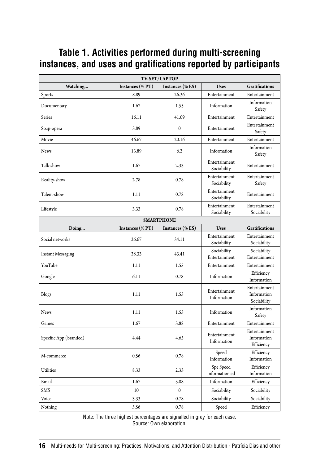#### **Table 1. Activities performed during multi-screening instances, and uses and gratifications reported by participants**

| TV-SET/LAPTOP            |                  |                  |                              |                                             |
|--------------------------|------------------|------------------|------------------------------|---------------------------------------------|
| Watching                 | Instances (% PT) | Instances (% ES) | <b>Uses</b>                  | <b>Gratifications</b>                       |
| Sports                   | 8.89             | 26.36            | Entertainment                | Entertainment                               |
| Documentary              | 1.67             | 1.55             | Information                  | Information<br>Safety                       |
| Series                   | 16.11            | 41.09            | Entertainment                | Entertainment                               |
| Soap-opera               | 3.89             | $\mathbf{0}$     | Entertainment                | Entertainment<br>Safety                     |
| Movie                    | 46.67            | 20.16            | Entertainment                | Entertainment                               |
| <b>News</b>              | 13.89            | 6.2              | Information                  | Information<br>Safety                       |
| Talk-show                | 1.67             | 2.33             | Entertainment<br>Sociability | Entertainment                               |
| Reality-show             | 2.78             | 0.78             | Entertainment<br>Sociability | Entertainment<br>Safety                     |
| Talent-show              | 1.11             | 0.78             | Entertainment<br>Sociability | Entertainment                               |
| Lifestyle                | 3.33             | 0.78             | Entertainment<br>Sociability | Entertainment<br>Sociability                |
| <b>SMARTPHONE</b>        |                  |                  |                              |                                             |
| Doing                    | Instances (% PT) | Instances (% ES) | <b>Uses</b>                  | <b>Gratifications</b>                       |
| Social networks          | 26.67            | 34.11            | Entertainment<br>Sociability | Entertainment<br>Sociability                |
| <b>Instant Messaging</b> | 28.33            | 43.41            | Sociability<br>Entertainment | Sociability<br>Entertainment                |
| YouTube                  | 1.11             | 1.55             | Entertainment                | Entertainment                               |
| Google                   | 6.11             | 0.78             | Information                  | Efficiency<br>Information                   |
| Blogs                    | 1.11             | 1.55             | Entertainment<br>Information | Entertainment<br>Information<br>Sociability |
| <b>News</b>              | 1.11             | 1.55             | Information                  | Information<br>Safety                       |
| Games                    | 1.67             | 3.88             | Entertainment                | Entertainment                               |
| Specific App (branded)   | 4.44             | 4.65             | Entertainment<br>Information | Entertainment<br>Information<br>Efficiency  |
| M-commerce               | 0.56             | 0.78             | Speed<br>Information         | Efficiency<br>Information                   |
| <b>Utilities</b>         | 8.33             | 2.33             | Spe Speed<br>Information ed  | Efficiency<br>Information                   |
| Email                    | 1.67             | 3.88             | Information                  | Efficiency                                  |
| <b>SMS</b>               | 10               | $\mathbf{0}$     | Sociability                  | Sociability                                 |
| Voice                    | 3.33             | 0.78             | Sociability                  | Sociability                                 |
| Nothing                  | 5.56             | 0.78             | Speed                        | Efficiency                                  |

Note: The three highest percentages are signalled in grey for each case. Source: Own elaboration.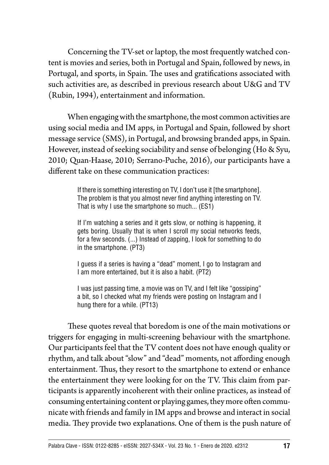Concerning the TV-set or laptop, the most frequently watched content is movies and series, both in Portugal and Spain, followed by news, in Portugal, and sports, in Spain. The uses and gratifications associated with such activities are, as described in previous research about U&G and TV (Rubin, 1994), entertainment and information.

When engaging with the smartphone, the most common activities are using social media and IM apps, in Portugal and Spain, followed by short message service (SMS), in Portugal, and browsing branded apps, in Spain. However, instead of seeking sociability and sense of belonging (Ho & Syu, 2010; Quan-Haase, 2010; Serrano-Puche, 2016), our participants have a different take on these communication practices:

> If there is something interesting on TV, I don't use it [the smartphone]. The problem is that you almost never find anything interesting on TV. That is why I use the smartphone so much... (ES1)

> If I'm watching a series and it gets slow, or nothing is happening, it gets boring. Usually that is when I scroll my social networks feeds, for a few seconds. (...) Instead of zapping, I look for something to do in the smartphone. (PT3)

> I guess if a series is having a "dead" moment, I go to Instagram and I am more entertained, but it is also a habit. (PT2)

> I was just passing time, a movie was on TV, and I felt like "gossiping" a bit, so I checked what my friends were posting on Instagram and I hung there for a while. (PT13)

These quotes reveal that boredom is one of the main motivations or triggers for engaging in multi-screening behaviour with the smartphone. Our participants feel that the TV content does not have enough quality or rhythm, and talk about "slow" and "dead" moments, not affording enough entertainment. Thus, they resort to the smartphone to extend or enhance the entertainment they were looking for on the TV. This claim from participants is apparently incoherent with their online practices, as instead of consuming entertaining content or playing games, they more often communicate with friends and family in IM apps and browse and interact in social media. They provide two explanations. One of them is the push nature of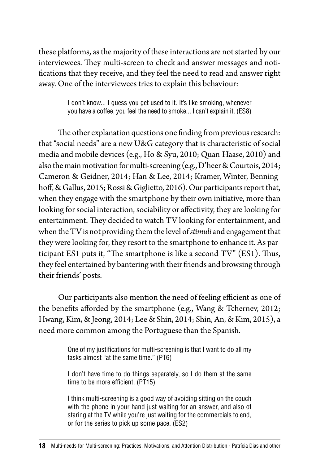these platforms, as the majority of these interactions are not started by our interviewees. They multi-screen to check and answer messages and notifications that they receive, and they feel the need to read and answer right away. One of the interviewees tries to explain this behaviour:

> I don't know... I guess you get used to it. It's like smoking, whenever you have a coffee, you feel the need to smoke... I can't explain it. (ES8)

The other explanation questions one finding from previous research: that "social needs" are a new U&G category that is characteristic of social media and mobile devices (e.g., Ho & Syu, 2010; Quan-Haase, 2010) and also the main motivation for multi-screening (e.g., D'heer & Courtois, 2014; Cameron & Geidner, 2014; Han & Lee, 2014; Kramer, Winter, Benninghoff, & Gallus, 2015; Rossi & Giglietto, 2016). Our participants report that, when they engage with the smartphone by their own initiative, more than looking for social interaction, sociability or affectivity, they are looking for entertainment. They decided to watch TV looking for entertainment, and when the TV is not providing them the level of *stimuli* and engagement that they were looking for, they resort to the smartphone to enhance it. As participant ES1 puts it, "The smartphone is like a second TV" (ES1). Thus, they feel entertained by bantering with their friends and browsing through their friends' posts.

Our participants also mention the need of feeling efficient as one of the benefits afforded by the smartphone (e.g., Wang & Tchernev, 2012; Hwang, Kim, & Jeong, 2014; Lee & Shin, 2014; Shin, An, & Kim, 2015), a need more common among the Portuguese than the Spanish.

> One of my justifications for multi-screening is that I want to do all my tasks almost "at the same time." (PT6)

> I don't have time to do things separately, so I do them at the same time to be more efficient. (PT15)

> I think multi-screening is a good way of avoiding sitting on the couch with the phone in your hand just waiting for an answer, and also of staring at the TV while you're just waiting for the commercials to end, or for the series to pick up some pace. (ES2)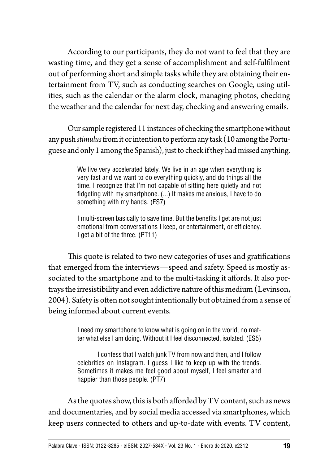According to our participants, they do not want to feel that they are wasting time, and they get a sense of accomplishment and self-fulfilment out of performing short and simple tasks while they are obtaining their entertainment from TV, such as conducting searches on Google, using utilities, such as the calendar or the alarm clock, managing photos, checking the weather and the calendar for next day, checking and answering emails.

Our sample registered 11 instances of checking the smartphone without any push *stimulus* from it or intention to perform any task (10 among the Portuguese and only 1 among the Spanish), just to check if they had missed anything.

> We live very accelerated lately. We live in an age when everything is very fast and we want to do everything quickly, and do things all the time. I recognize that I'm not capable of sitting here quietly and not fidgeting with my smartphone. (...) It makes me anxious, I have to do something with my hands. (ES7)

> I multi-screen basically to save time. But the benefits I get are not just emotional from conversations I keep, or entertainment, or efficiency. I get a bit of the three. (PT11)

This quote is related to two new categories of uses and gratifications that emerged from the interviews—speed and safety. Speed is mostly associated to the smartphone and to the multi-tasking it affords. It also portrays the irresistibility and even addictive nature of this medium (Levinson, 2004). Safety is often not sought intentionally but obtained from a sense of being informed about current events.

> I need my smartphone to know what is going on in the world, no matter what else I am doing. Without it I feel disconnected, isolated. (ES5)

> I confess that I watch junk TV from now and then, and I follow celebrities on Instagram. I guess I like to keep up with the trends. Sometimes it makes me feel good about myself, I feel smarter and happier than those people. (PT7)

As the quotes show, this is both afforded by TV content, such as news and documentaries, and by social media accessed via smartphones, which keep users connected to others and up-to-date with events. TV content,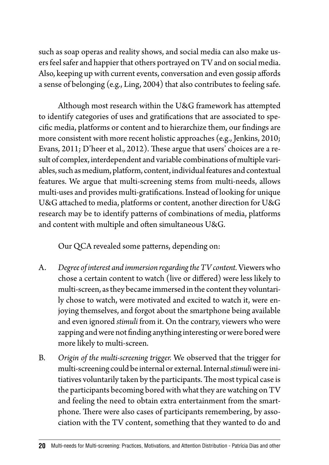such as soap operas and reality shows, and social media can also make users feel safer and happier that others portrayed on TV and on social media. Also, keeping up with current events, conversation and even gossip affords a sense of belonging (e.g., Ling, 2004) that also contributes to feeling safe.

Although most research within the U&G framework has attempted to identify categories of uses and gratifications that are associated to specific media, platforms or content and to hierarchize them, our findings are more consistent with more recent holistic approaches (e.g., Jenkins, 2010; Evans, 2011; D'heer et al., 2012). These argue that users' choices are a result of complex, interdependent and variable combinations of multiple variables, such as medium, platform, content, individual features and contextual features. We argue that multi-screening stems from multi-needs, allows multi-uses and provides multi-gratifications. Instead of looking for unique U&G attached to media, platforms or content, another direction for U&G research may be to identify patterns of combinations of media, platforms and content with multiple and often simultaneous U&G.

Our QCA revealed some patterns, depending on:

- A. *Degree of interest and immersion regarding the TV content.* Viewers who chose a certain content to watch (live or differed) were less likely to multi-screen, as they became immersed in the content they voluntarily chose to watch, were motivated and excited to watch it, were enjoying themselves, and forgot about the smartphone being available and even ignored *stimuli* from it. On the contrary, viewers who were zapping and were not finding anything interesting or were bored were more likely to multi-screen.
- B. *Origin of the multi-screening trigger.* We observed that the trigger for multi-screening could be internal or external. Internal *stimuli* were initiatives voluntarily taken by the participants. The most typical case is the participants becoming bored with what they are watching on TV and feeling the need to obtain extra entertainment from the smartphone. There were also cases of participants remembering, by association with the TV content, something that they wanted to do and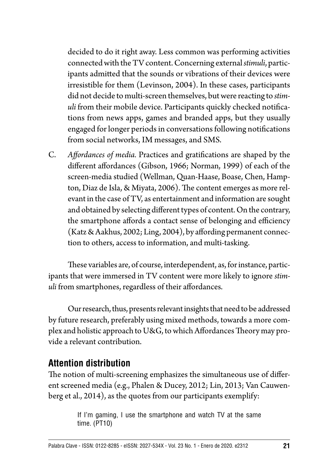decided to do it right away. Less common was performing activities connected with the TV content. Concerning external *stimuli*, participants admitted that the sounds or vibrations of their devices were irresistible for them (Levinson, 2004). In these cases, participants did not decide to multi-screen themselves, but were reacting to *stimuli* from their mobile device. Participants quickly checked notifications from news apps, games and branded apps, but they usually engaged for longer periods in conversations following notifications from social networks, IM messages, and SMS.

C. *Affordances of media.* Practices and gratifications are shaped by the different affordances (Gibson, 1966; Norman, 1999) of each of the screen-media studied (Wellman, Quan-Haase, Boase, Chen, Hampton, Diaz de Isla, & Miyata, 2006). The content emerges as more relevant in the case of TV, as entertainment and information are sought and obtained by selecting different types of content. On the contrary, the smartphone affords a contact sense of belonging and efficiency (Katz & Aakhus, 2002; Ling, 2004), by affording permanent connection to others, access to information, and multi-tasking.

These variables are, of course, interdependent, as, for instance, participants that were immersed in TV content were more likely to ignore *stimuli* from smartphones, regardless of their affordances.

Our research, thus, presents relevant insights that need to be addressed by future research, preferably using mixed methods, towards a more complex and holistic approach to U&G, to which Affordances Theory may provide a relevant contribution.

#### **Attention distribution**

The notion of multi-screening emphasizes the simultaneous use of different screened media (e.g., Phalen & Ducey, 2012; Lin, 2013; Van Cauwenberg et al., 2014), as the quotes from our participants exemplify:

> If I'm gaming, I use the smartphone and watch TV at the same time. (PT10)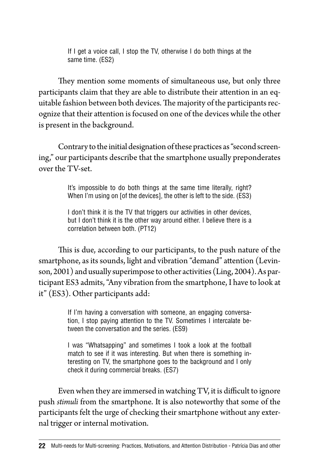If I get a voice call, I stop the TV, otherwise I do both things at the same time. (ES2)

They mention some moments of simultaneous use, but only three participants claim that they are able to distribute their attention in an equitable fashion between both devices. The majority of the participants recognize that their attention is focused on one of the devices while the other is present in the background.

Contrary to the initial designation of these practices as "second screening," our participants describe that the smartphone usually preponderates over the TV-set.

> It's impossible to do both things at the same time literally, right? When I'm using on [of the devices], the other is left to the side. (ES3)

> I don't think it is the TV that triggers our activities in other devices, but I don't think it is the other way around either. I believe there is a correlation between both. (PT12)

This is due, according to our participants, to the push nature of the smartphone, as its sounds, light and vibration "demand" attention (Levinson, 2001) and usually superimpose to other activities (Ling, 2004). As participant ES3 admits, "Any vibration from the smartphone, I have to look at it" (ES3). Other participants add:

> If I'm having a conversation with someone, an engaging conversation, I stop paying attention to the TV. Sometimes I intercalate between the conversation and the series. (ES9)

> I was "Whatsapping" and sometimes I took a look at the football match to see if it was interesting. But when there is something interesting on TV, the smartphone goes to the background and I only check it during commercial breaks. (ES7)

Even when they are immersed in watching TV, it is difficult to ignore push *stimuli* from the smartphone. It is also noteworthy that some of the participants felt the urge of checking their smartphone without any external trigger or internal motivation.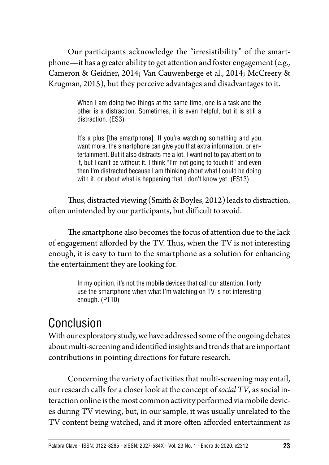Our participants acknowledge the "irresistibility" of the smartphone—it has a greater ability to get attention and foster engagement (e.g., Cameron & Geidner, 2014; Van Cauwenberge et al., 2014; McCreery & Krugman, 2015), but they perceive advantages and disadvantages to it.

> When I am doing two things at the same time, one is a task and the other is a distraction. Sometimes, it is even helpful, but it is still a distraction. (ES3)

> It's a plus [the smartphone]. If you're watching something and you want more, the smartphone can give you that extra information, or entertainment. But it also distracts me a lot. I want not to pay attention to it, but I can't be without it. I think "I'm not going to touch it" and even then I'm distracted because I am thinking about what I could be doing with it, or about what is happening that I don't know yet. (ES13)

Thus, distracted viewing (Smith & Boyles, 2012) leads to distraction, often unintended by our participants, but difficult to avoid.

The smartphone also becomes the focus of attention due to the lack of engagement afforded by the TV. Thus, when the TV is not interesting enough, it is easy to turn to the smartphone as a solution for enhancing the entertainment they are looking for.

> In my opinion, it's not the mobile devices that call our attention. I only use the smartphone when what I'm watching on TV is not interesting enough. (PT10)

## Conclusion

With our exploratory study, we have addressed some of the ongoing debates about multi-screening and identified insights and trends that are important contributions in pointing directions for future research.

Concerning the variety of activities that multi-screening may entail, our research calls for a closer look at the concept of *social TV*, as social interaction online is the most common activity performed via mobile devices during TV-viewing, but, in our sample, it was usually unrelated to the TV content being watched, and it more often afforded entertainment as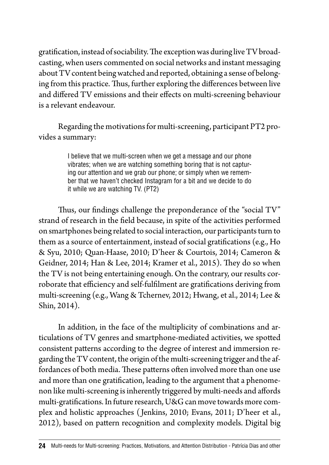gratification, instead of sociability. The exception was during live TV broadcasting, when users commented on social networks and instant messaging about TV content being watched and reported, obtaining a sense of belonging from this practice. Thus, further exploring the differences between live and differed TV emissions and their effects on multi-screening behaviour is a relevant endeavour.

Regarding the motivations for multi-screening, participant PT2 provides a summary:

> I believe that we multi-screen when we get a message and our phone vibrates; when we are watching something boring that is not capturing our attention and we grab our phone; or simply when we remember that we haven't checked Instagram for a bit and we decide to do it while we are watching TV. (PT2)

Thus, our findings challenge the preponderance of the "social TV" strand of research in the field because, in spite of the activities performed on smartphones being related to social interaction, our participants turn to them as a source of entertainment, instead of social gratifications (e.g., Ho & Syu, 2010; Quan-Haase, 2010; D'heer & Courtois, 2014; Cameron & Geidner, 2014; Han & Lee, 2014; Kramer et al., 2015). They do so when the TV is not being entertaining enough. On the contrary, our results corroborate that efficiency and self-fulfilment are gratifications deriving from multi-screening (e.g., Wang & Tchernev, 2012; Hwang, et al., 2014; Lee & Shin, 2014).

In addition, in the face of the multiplicity of combinations and articulations of TV genres and smartphone-mediated activities, we spotted consistent patterns according to the degree of interest and immersion regarding the TV content, the origin of the multi-screening trigger and the affordances of both media. These patterns often involved more than one use and more than one gratification, leading to the argument that a phenomenon like multi-screening is inherently triggered by multi-needs and affords multi-gratifications. In future research, U&G can move towards more complex and holistic approaches ( Jenkins, 2010; Evans, 2011; D'heer et al., 2012), based on pattern recognition and complexity models. Digital big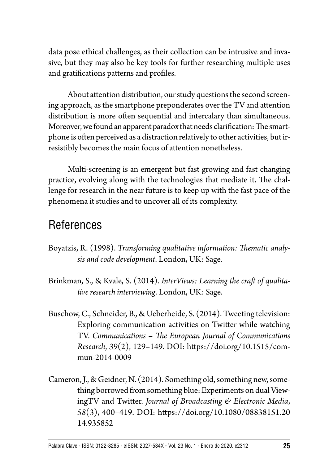data pose ethical challenges, as their collection can be intrusive and invasive, but they may also be key tools for further researching multiple uses and gratifications patterns and profiles.

About attention distribution, our study questions the second screening approach, as the smartphone preponderates over the TV and attention distribution is more often sequential and intercalary than simultaneous. Moreover, we found an apparent paradox that needs clarification: The smartphone is often perceived as a distraction relatively to other activities, but irresistibly becomes the main focus of attention nonetheless.

Multi-screening is an emergent but fast growing and fast changing practice, evolving along with the technologies that mediate it. The challenge for research in the near future is to keep up with the fast pace of the phenomena it studies and to uncover all of its complexity.

## References

- Boyatzis, R. (1998). *Transforming qualitative information: Thematic analysis and code development*. London, UK: Sage.
- Brinkman, S., & Kvale, S. (2014). *InterViews: Learning the craft of qualitative research interviewing*. London, UK: Sage.
- Buschow, C., Schneider, B., & Ueberheide, S. (2014). Tweeting television: Exploring communication activities on Twitter while watching TV. *Communications – The European Journal of Communications Research*, *39*(2), 129*–*149. DOI: [https://doi.org/10.1515/com](https://doi.org/10.1515/commun-2014-0009)[mun-2014-0009](https://doi.org/10.1515/commun-2014-0009)
- Cameron, J., & Geidner, N. (2014). Something old, something new, something borrowed from something blue: Experiments on dual ViewingTV and Twitter. *Journal of Broadcasting & Electronic Media*, *58*(3), 400*–*419. DOI: [https://doi.org/10.1080/08838151.20](https://doi.org/10.1080/08838151.2014.935852) [14.935852](https://doi.org/10.1080/08838151.2014.935852)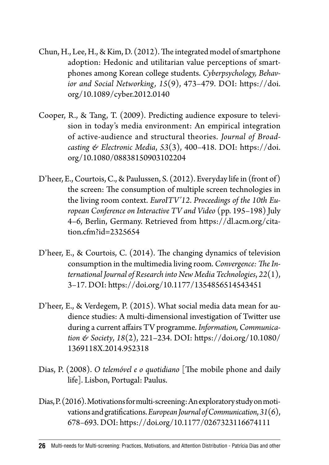- Chun, H., Lee, H., & Kim, D. (2012). The integrated model of smartphone adoption: Hedonic and utilitarian value perceptions of smartphones among Korean college students. *Cyberpsychology, Behavior and Social Networking, 15*(9), 473*–*479. DOI: [https://doi.](https://doi.org/10.1089/cyber.2012.0140) [org/10.1089/cyber.2012.0140](https://doi.org/10.1089/cyber.2012.0140)
- Cooper, R., & Tang, T. (2009). Predicting audience exposure to television in today's media environment: An empirical integration of active-audience and structural theories. *Journal of Broadcasting & Electronic Media*, *53*(3), 400*–*418. DOI: [https://doi.](https://doi.org/10.1080/08838150903102204) [org/10.1080/08838150903102204](https://doi.org/10.1080/08838150903102204)
- D'heer, E., Courtois, C., & Paulussen, S. (2012). Everyday life in (front of) the screen: The consumption of multiple screen technologies in the living room context. *EuroITV'12*. *Proceedings of the 10th European Conference on Interactive TV and Video* (pp. 195*–*198) July 4–6, Berlin, Germany. Retrieved from [https://dl.acm.org/cita](https://dl.acm.org/citation.cfm?id=2325654)[tion.cfm?id=2325654](https://dl.acm.org/citation.cfm?id=2325654)
- D'heer, E., & Courtois, C. (2014). The changing dynamics of television consumption in the multimedia living room. *Convergence: The International Journal of Research into New Media Technologies*, *22*(1), 3*–*17. DOI: <https://doi.org/10.1177/1354856514543451>
- D'heer, E., & Verdegem, P. (2015). What social media data mean for audience studies: A multi-dimensional investigation of Twitter use during a current affairs TV programme. *Information, Communication & Society*, *18*(2), 221–234. DOI: [https://doi.org/10.1080/](https://doi.org/10.1080/1369118X.2014.952318) [1369118X.2014.952318](https://doi.org/10.1080/1369118X.2014.952318)
- Dias, P. (2008). *O telemóvel e o quotidiano* [The mobile phone and daily life]. Lisbon, Portugal: Paulus.
- Dias, P. (2016). Motivations for multi-screening: An exploratory study on motivations and gratifications. *European Journal of Communication*, *31*(6), 678*–*693. DOI: <https://doi.org/10.1177/0267323116674111>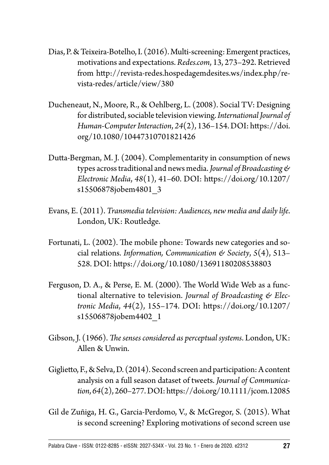- Dias, P. & Teixeira-Botelho, I. (2016). Multi-screening: Emergent practices, motivations and expectations. *Redes.com*, 13, 273–292. Retrieved from [http://revista-redes.hospedagemdesites.ws/index.php/re](http://revista-redes.hospedagemdesites.ws/index.php/revista-redes/article/view/380)[vista-redes/article/view/380](http://revista-redes.hospedagemdesites.ws/index.php/revista-redes/article/view/380)
- Ducheneaut, N., Moore, R., & Oehlberg, L. (2008). Social TV: Designing for distributed, sociable television viewing. *International Journal of Human-Computer Interaction*, *24*(2), 136*–*154. DOI: [https://doi.](https://doi.org/10.1080/10447310701821426) [org/10.1080/10447310701821426](https://doi.org/10.1080/10447310701821426)
- Dutta-Bergman, M. J. (2004). Complementarity in consumption of news types across traditional and news media. *Journal of Broadcasting & Electronic Media*, *48*(1), 41–60. DOI: [https://doi.org/10.1207/](https://doi.org/10.1207/s15506878jobem4801_3) [s15506878jobem4801\\_3](https://doi.org/10.1207/s15506878jobem4801_3)
- Evans, E. (2011). *Transmedia television: Audiences, new media and daily life*. London, UK: Routledge.
- Fortunati, L. (2002). The mobile phone: Towards new categories and social relations. *Information, Communication & Society*, *5*(4), 513*–* 528. DOI:<https://doi.org/10.1080/13691180208538803>
- Ferguson, D. A., & Perse, E. M. (2000). The World Wide Web as a functional alternative to television. *Journal of Broadcasting & Electronic Media*, *44*(2), 155–174. DOI: [https://doi.org/10.1207/](https://doi.org/10.1207/s15506878jobem4402_1) [s15506878jobem4402\\_1](https://doi.org/10.1207/s15506878jobem4402_1)
- Gibson, J. (1966). *The senses considered as perceptual systems*. London, UK: Allen & Unwin.
- Giglietto, F., & Selva, D. (2014). Second screen and participation: A content analysis on a full season dataset of tweets. *Journal of Communication*, *64*(2), 260–277. DOI:<https://doi.org/10.1111/jcom.12085>
- Gil de Zuñiga, H. G., Garcia-Perdomo, V., & McGregor, S. (2015). What is second screening? Exploring motivations of second screen use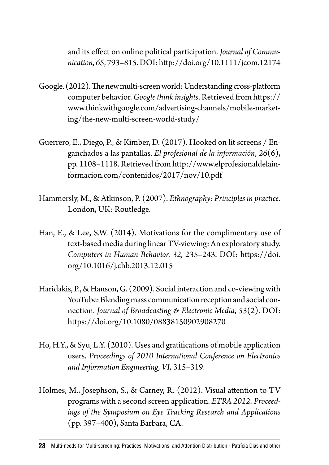and its effect on online political participation. *Journal of Communication*, *65*, 793*–*815. DOI:<http://doi.org/10.1111/jcom.12174>

- Google. (2012). The new multi-screen world: Understanding cross-platform computer behavior. *Google think insights*. Retrieved from [https://](https://www.thinkwithgoogle.com/advertising-channels/mobile-marketing/the-new-multi-screen-world-study/) [www.thinkwithgoogle.com/advertising-channels/mobile-market](https://www.thinkwithgoogle.com/advertising-channels/mobile-marketing/the-new-multi-screen-world-study/)[ing/the-new-multi-screen-world-study/](https://www.thinkwithgoogle.com/advertising-channels/mobile-marketing/the-new-multi-screen-world-study/)
- Guerrero, E., Diego, P., & Kimber, D. (2017). Hooked on lit screens / Enganchados a las pantallas. *El profesional de la información*, *26*(6), pp. 1108*–*1118. Retrieved from [http://www.elprofesionaldelain](http://www.elprofesionaldelainformacion.com/contenidos/2017/nov/10.pdf)[formacion.com/contenidos/2017/nov/10.pdf](http://www.elprofesionaldelainformacion.com/contenidos/2017/nov/10.pdf)
- Hammersly, M., & Atkinson, P. (2007). *Ethnography: Principles in practice*. London, UK: Routledge.
- Han, E., & Lee, S.W. (2014). Motivations for the complimentary use of text-based media during linear TV-viewing: An exploratory study. *Computers in Human Behavior, 32,* 235*–*243. DOI: [https://doi.](https://doi.org/10.1016/j.chb.2013.12.015) [org/10.1016/j.chb.2013.12.015](https://doi.org/10.1016/j.chb.2013.12.015)
- Haridakis, P., & Hanson, G. (2009). Social interaction and co-viewing with YouTube: Blending mass communication reception and social connection. *Journal of Broadcasting & Electronic Media*, *53*(2). DOI: <https://doi.org/10.1080/08838150902908270>
- Ho, H.Y., & Syu, L.Y. (2010). Uses and gratifications of mobile application users. *Proceedings of 2010 International Conference on Electronics and Information Engineering*, *VI,* 315*–*319.
- Holmes, M., Josephson, S., & Carney, R. (2012). Visual attention to TV programs with a second screen application. *ETRA 2012*. *Proceedings of the Symposium on Eye Tracking Research and Applications* (pp. 397*–*400), Santa Barbara, CA.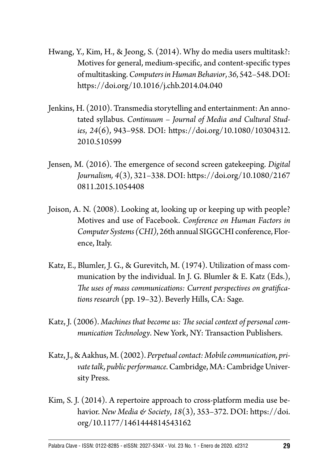- Hwang, Y., Kim, H., & Jeong, S. (2014). Why do media users multitask?: Motives for general, medium-specific, and content-specific types of multitasking. *Computers in Human Behavior*, *36*, 542*–*548. DOI: <https://doi.org/10.1016/j.chb.2014.04.040>
- Jenkins, H. (2010). Transmedia storytelling and entertainment: An annotated syllabus. *Continuum – Journal of Media and Cultural Studies*, *24*(6), 943*–*958. DOI: [https://doi.org/10.1080/10304312.](https://doi.org/10.1080/10304312.2010.510599) [2010.510599](https://doi.org/10.1080/10304312.2010.510599)
- Jensen, M. (2016). The emergence of second screen gatekeeping. *Digital Journalism, 4*(3), 321*–*338. DOI: [https://doi.org/10.1080/2167](https://doi.org/10.1080/21670811.2015.1054408) [0811.2015.1054408](https://doi.org/10.1080/21670811.2015.1054408)
- Joison, A. N. (2008). Looking at, looking up or keeping up with people? Motives and use of Facebook. *Conference on Human Factors in Computer Systems (CHI)*, 26th annual SIGGCHI conference, Florence, Italy.
- Katz, E., Blumler, J. G., & Gurevitch, M. (1974). Utilization of mass communication by the individual. In J. G. Blumler & E. Katz (Eds.), *The uses of mass communications: Current perspectives on gratifications research* (pp. 19–32). Beverly Hills, CA: Sage.
- Katz, J. (2006). *Machines that become us: The social context of personal communication Technology*. New York, NY: Transaction Publishers.
- Katz, J., & Aakhus, M. (2002). *Perpetual contact: Mobile communication, private talk, public performance*. Cambridge, MA: Cambridge University Press.
- Kim, S. J. (2014). A repertoire approach to cross-platform media use behavior. *New Media & Society*, *18*(3), 353*–*372. DOI: [https://doi.](https://doi.org/10.1177/1461444814543162) [org/10.1177/1461444814543162](https://doi.org/10.1177/1461444814543162)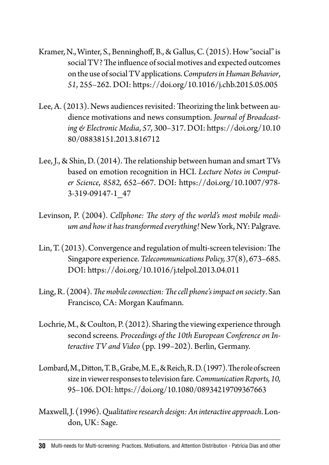- Kramer, N., Winter, S., Benninghoff, B., & Gallus, C. (2015). How "social" is social TV? The influence of social motives and expected outcomes on the use of social TV applications. *Computers in Human Behavior*, *51*, 255*–*262. DOI: <https://doi.org/10.1016/j.chb.2015.05.005>
- Lee, A. (2013). News audiences revisited: Theorizing the link between audience motivations and news consumption. *Journal of Broadcasting & Electronic Media*, *57,* 300*–*317. DOI: [https://doi.org/10.10](https://doi.org/10.1080/08838151.2013.816712) [80/08838151.2013.816712](https://doi.org/10.1080/08838151.2013.816712)
- Lee, J., & Shin, D. (2014). The relationship between human and smart TVs based on emotion recognition in HCI. *Lecture Notes in Computer Science*, *8582,* 652–667. DOI: [https://doi.org/10.1007/978-](https://doi.org/10.1007/978-3-319-09147-1_47) [3-319-09147-1\\_47](https://doi.org/10.1007/978-3-319-09147-1_47)
- Levinson, P. (2004). *Cellphone: The story of the world's most mobile medium and how it has transformed everything!* New York, NY: Palgrave.
- Lin, T. (2013). Convergence and regulation of multi-screen television: The Singapore experience. *Telecommunications Policy, 37*(8), 673–685. DOI:<https://doi.org/10.1016/j.telpol.2013.04.011>
- Ling, R. (2004). *The mobile connection: The cell phone's impact on society*. San Francisco, CA: Morgan Kaufmann.
- Lochrie, M., & Coulton, P. (2012). Sharing the viewing experience through second screens. *Proceedings of the 10th European Conference on Interactive TV and Video* (pp. 199–202). Berlin, Germany.
- Lombard, M., Ditton, T. B., Grabe, M. E., & Reich, R. D. (1997). The role of screen size in viewer responses to television fare. *Communication Reports, 10,* 95–106. DOI:<https://doi.org/10.1080/08934219709367663>
- Maxwell, J. (1996). *Qualitative research design: An interactive approach*. London, UK: Sage.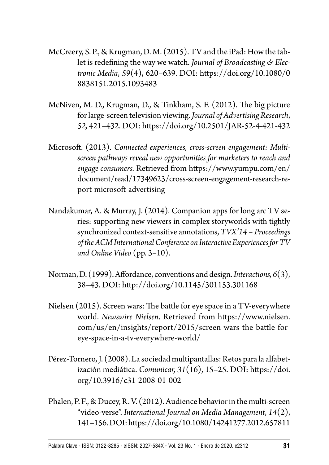- McCreery, S. P., & Krugman, D. M. (2015). TV and the iPad: How the tablet is redefining the way we watch. *Journal of Broadcasting & Electronic Media*, *59*(4), 620*–*639. DOI: [https://doi.org/10.1080/0](https://doi.org/10.1080/08838151.2015.1093483) [8838151.2015.1093483](https://doi.org/10.1080/08838151.2015.1093483)
- McNiven, M. D., Krugman, D., & Tinkham, S. F. (2012). The big picture for large-screen television viewing. *Journal of Advertising Research*, *52,* 421–432. DOI:<https://doi.org/10.2501/JAR-52-4-421-432>
- Microsoft. (2013). *Connected experiences, cross-screen engagement: Multiscreen pathways reveal new opportunities for marketers to reach and engage consumers.* Retrieved from [https://www.yumpu.com/en/](https://www.yumpu.com/en/document/read/17349623/cross-screen-engagement-research-report-microsoft-advertising) [document/read/17349623/cross-screen-engagement-research-re](https://www.yumpu.com/en/document/read/17349623/cross-screen-engagement-research-report-microsoft-advertising)[port-microsoft-advertising](https://www.yumpu.com/en/document/read/17349623/cross-screen-engagement-research-report-microsoft-advertising)
- Nandakumar, A. & Murray, J. (2014). Companion apps for long arc TV series: supporting new viewers in complex storyworlds with tightly synchronized context-sensitive annotations, *TVX'14 – Proceedings of the ACM International Conference on Interactive Experiences for TV and Online Video* (pp. 3–10).
- Norman, D. (1999). Affordance, conventions and design. *Interactions, 6*(3), 38*–*43. DOI: <http://doi.org/10.1145/301153.301168>
- Nielsen (2015). Screen wars: The battle for eye space in a TV-everywhere world. *Newswire Nielsen*. Retrieved from [https://www.nielsen.](https://www.nielsen.com/us/en/insights/report/2015/screen-wars-the-battle-for-eye-space-in-a-tv-everywhere-world/) [com/us/en/insights/report/2015/screen-wars-the-battle-for](https://www.nielsen.com/us/en/insights/report/2015/screen-wars-the-battle-for-eye-space-in-a-tv-everywhere-world/)[eye-space-in-a-tv-everywhere-world/](https://www.nielsen.com/us/en/insights/report/2015/screen-wars-the-battle-for-eye-space-in-a-tv-everywhere-world/)
- Pérez-Tornero, J. (2008). La sociedad multipantallas: Retos para la alfabetización mediática. *Comunicar, 31*(16), 15*–*25. DOI: [https://doi.](https://doi.org/10.3916/c31-2008-01-002) [org/10.3916/c31-2008-01-002](https://doi.org/10.3916/c31-2008-01-002)
- Phalen, P. F., & Ducey, R. V. (2012). Audience behavior in the multi-screen "video-verse". *International Journal on Media Management*, *14*(2), 141*–*156. DOI:<https://doi.org/10.1080/14241277.2012.657811>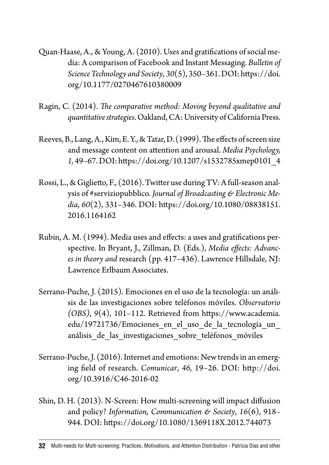- Quan-Haase, A., & Young, A. (2010). Uses and gratifications of social media: A comparison of Facebook and Instant Messaging. *Bulletin of Science Technology and Society*, *30*(5), 350*–*361. DOI: [https://doi.](https://doi.org/10.1177/0270467610380009) [org/10.1177/0270467610380009](https://doi.org/10.1177/0270467610380009)
- Ragin, C. (2014). *The comparative method: Moving beyond qualitative and quantitative strategies*. Oakland, CA: University of California Press.
- Reeves, B., Lang, A., Kim, E. Y., & Tatar, D. (1999). The effects of screen size and message content on attention and arousal. *Media Psychology, 1,* 49–67. DOI: [https://doi.org/10.1207/s1532785xmep0101\\_4](https://doi.org/10.1207/s1532785xmep0101_4)
- Rossi, L., & Giglietto, F., (2016). Twitter use during TV: A full-season analysis of #serviziopubblico. *Journal of Broadcasting & Electronic Media*, *60*(2), 331*–*346. DOI: [https://doi.org/10.1080/08838151.](https://doi.org/10.1080/08838151.2016.1164162) [2016.1164162](https://doi.org/10.1080/08838151.2016.1164162)
- Rubin, A. M. (1994). Media uses and effects: a uses and gratifications perspective. In Bryant, J., Zillman, D. (Eds.), *Media effects: Advances in theory and* research (pp. 417–436). Lawrence Hillsdale, NJ: Lawrence Erlbaum Associates.
- Serrano-Puche, J. (2015). Emociones en el uso de la tecnología: un análisis de las investigaciones sobre teléfonos móviles. *Observatorio (OBS)*, *9*(4), 101*–*112. Retrieved from [https://www.academia.](https://www.academia.edu/19721736/Emociones_en_el_uso_de_la_tecnolog%C3%ADa_un_an%C3%A1lisis_de_las_investigaciones_sobre_tel%C3%A9fonos_m%C3%B3viles) [edu/19721736/Emociones\\_en\\_el\\_uso\\_de\\_la\\_tecnología\\_un\\_](https://www.academia.edu/19721736/Emociones_en_el_uso_de_la_tecnolog%C3%ADa_un_an%C3%A1lisis_de_las_investigaciones_sobre_tel%C3%A9fonos_m%C3%B3viles) análisis de las investigaciones sobre teléfonos móviles
- Serrano-Puche, J. (2016). Internet and emotions: New trends in an emerging field of research. *Comunicar*, *46,* 19*–*26. DOI: [http://doi.](http://doi.org/10.3916/C46-2016-02) [org/10.3916/C46-2016-02](http://doi.org/10.3916/C46-2016-02)
- Shin, D. H. (2013). N-Screen: How multi-screening will impact diffusion and policy? *Information, Communication & Society*, *16*(6), 918*–* 944. DOI:<https://doi.org/10.1080/1369118X.2012.744073>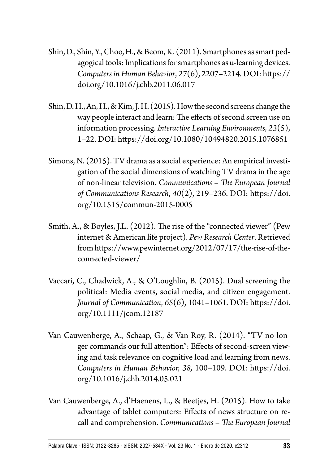- Shin, D., Shin, Y., Choo, H., & Beom, K. (2011). Smartphones as smart pedagogical tools: Implications for smartphones as u-learning devices. *Computers in Human Behavior*, *27*(6), 2207–2214. DOI: [https://](https://doi.org/10.1016/j.chb.2011.06.017) [doi.org/10.1016/j.chb.2011.06.017](https://doi.org/10.1016/j.chb.2011.06.017)
- Shin, D. H., An, H., & Kim, J. H. (2015). How the second screens change the way people interact and learn: The effects of second screen use on information processing. *Interactive Learning Environments, 23*(5), 1*–*22. DOI: <https://doi.org/10.1080/10494820.2015.1076851>
- Simons, N. (2015). TV drama as a social experience: An empirical investigation of the social dimensions of watching TV drama in the age of non-linear television. *Communications – The European Journal of Communications Research*, *40*(2), 219*–*236. DOI: [https://doi.](https://doi.org/10.1515/commun-2015-0005) [org/10.1515/commun-2015-0005](https://doi.org/10.1515/commun-2015-0005)
- Smith, A., & Boyles, J.L. (2012). The rise of the "connected viewer" (Pew internet & American life project). *Pew Research Center*. Retrieved from [https://www.pewinternet.org/2012/07/17/the-rise-of-the](https://www.pewinternet.org/2012/07/17/the-rise-of-the-connected-viewer/)[connected-viewer/](https://www.pewinternet.org/2012/07/17/the-rise-of-the-connected-viewer/)
- Vaccari, C., Chadwick, A., & O'Loughlin, B. (2015). Dual screening the political: Media events, social media, and citizen engagement. *Journal of Communication*, *65*(6), 1041*–*1061. DOI: [https://doi.](https://doi.org/10.1111/jcom.12187) [org/10.1111/jcom.12187](https://doi.org/10.1111/jcom.12187)
- Van Cauwenberge, A., Schaap, G., & Van Roy, R. (2014). "TV no longer commands our full attention": Effects of second-screen viewing and task relevance on cognitive load and learning from news. *Computers in Human Behavior, 38,* 100*–*109. DOI: [https://doi.](https://doi.org/10.1016/j.chb.2014.05.021) [org/10.1016/j.chb.2014.05.021](https://doi.org/10.1016/j.chb.2014.05.021)
- Van Cauwenberge, A., d'Haenens, L., & Beetjes, H. (2015). How to take advantage of tablet computers: Effects of news structure on recall and comprehension. *Communications – The European Journal*